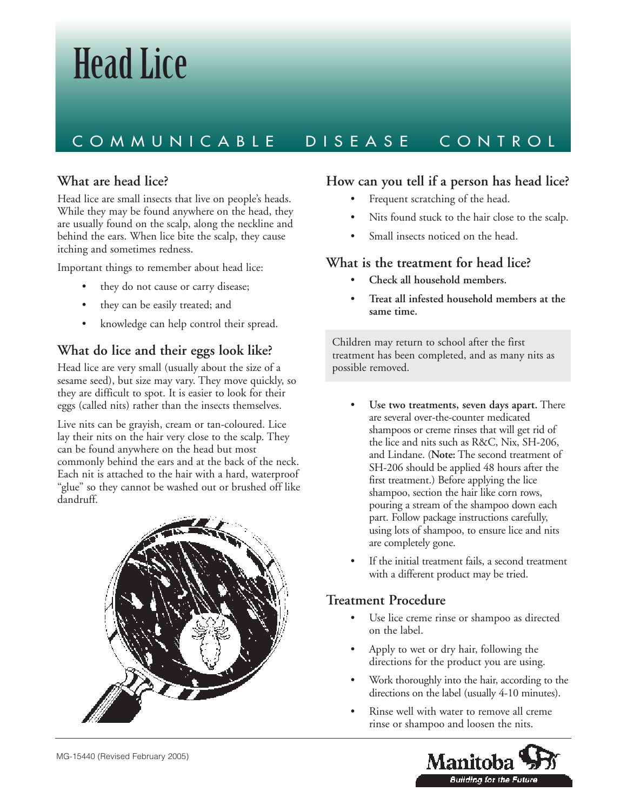# Head Lice

# COMMUNICABLE DISEASE CONTROL

### **What are head lice?**

Head lice are small insects that live on people's heads. While they may be found anywhere on the head, they are usually found on the scalp, along the neckline and behind the ears. When lice bite the scalp, they cause itching and sometimes redness.

Important things to remember about head lice:

- they do not cause or carry disease;
- they can be easily treated; and
- knowledge can help control their spread.

# **What do lice and their eggs look like?**

Head lice are very small (usually about the size of a sesame seed), but size may vary. They move quickly, so they are difficult to spot. It is easier to look for their eggs (called nits) rather than the insects themselves.

Live nits can be grayish, cream or tan-coloured. Lice lay their nits on the hair very close to the scalp. They can be found anywhere on the head but most commonly behind the ears and at the back of the neck. Each nit is attached to the hair with a hard, waterproof "glue" so they cannot be washed out or brushed off like dandruff.



#### **How can you tell if a person has head lice?**

- Frequent scratching of the head.
- Nits found stuck to the hair close to the scalp.
- Small insects noticed on the head.

#### **What is the treatment for head lice?**

- **Check all household members.**
- **Treat all infested household members at the same time.**

Children may return to school after the first treatment has been completed, and as many nits as possible removed.

- Use two treatments, seven days apart. There are several over-the-counter medicated shampoos or creme rinses that will get rid of the lice and nits such as R&C, Nix, SH-206, and Lindane. (**Note:** The second treatment of SH-206 should be applied 48 hours after the first treatment.) Before applying the lice shampoo, section the hair like corn rows, pouring a stream of the shampoo down each part. Follow package instructions carefully, using lots of shampoo, to ensure lice and nits are completely gone.
- If the initial treatment fails, a second treatment with a different product may be tried.

#### **Treatment Procedure**

- Use lice creme rinse or shampoo as directed on the label.
- Apply to wet or dry hair, following the directions for the product you are using.
- Work thoroughly into the hair, according to the directions on the label (usually 4-10 minutes).
- Rinse well with water to remove all creme rinse or shampoo and loosen the nits.